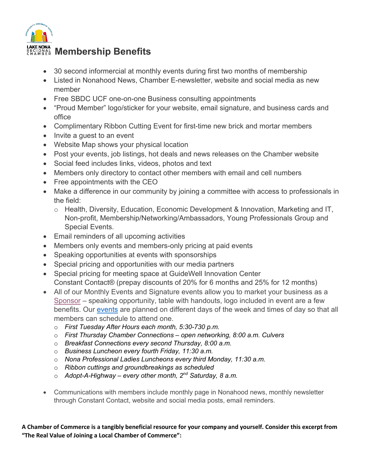

- 30 second informercial at monthly events during first two months of membership
- Listed in Nonahood News, Chamber E-newsletter, website and social media as new member
- Free SBDC UCF one-on-one Business consulting appointments
- "Proud Member" logo/sticker for your website, email signature, and business cards and office
- Complimentary Ribbon Cutting Event for first-time new brick and mortar members
- Invite a quest to an event
- Website Map shows your physical location
- Post your events, job listings, hot deals and news releases on the Chamber website
- Social feed includes links, videos, photos and text
- Members only directory to contact other members with email and cell numbers
- Free appointments with the CEO
- Make a difference in our community by joining a committee with access to professionals in the field:
	- o Health, Diversity, Education, Economic Development & Innovation, Marketing and IT, Non-profit, Membership/Networking/Ambassadors, Young Professionals Group and Special Events.
- Email reminders of all upcoming activities
- Members only events and members-only pricing at paid events
- Speaking opportunities at events with sponsorships
- Special pricing and opportunities with our media partners
- Special pricing for meeting space at GuideWell Innovation Center Constant Contact® (prepay discounts of 20% for 6 months and 25% for 12 months)
- All of our Monthly Events and Signature events allow you to market your business as a Sponsor – speaking opportunity, table with handouts, logo included in event are a few benefits. Our events are planned on different days of the week and times of day so that all members can schedule to attend one.
	- o *First Tuesday After Hours each month, 5:30-730 p.m.*
	- o *First Thursday Chamber Connections open networking, 8:00 a.m. Culvers*
	- o *Breakfast Connections every second Thursday, 8:00 a.m.*
	- o *Business Luncheon every fourth Friday, 11:30 a.m.*
	- o *Nona Professional Ladies Luncheons every third Monday, 11:30 a.m.*
	- o *Ribbon cuttings and groundbreakings as scheduled*
	- o *Adopt-A-Highway every other month, 2nd Saturday, 8 a.m.*
- Communications with members include monthly page in Nonahood news, monthly newsletter through Constant Contact, website and social media posts, email reminders.

**A Chamber of Commerce is a tangibly beneficial resource for your company and yourself. Consider this excerpt from "The Real Value of Joining a Local Chamber of Commerce":**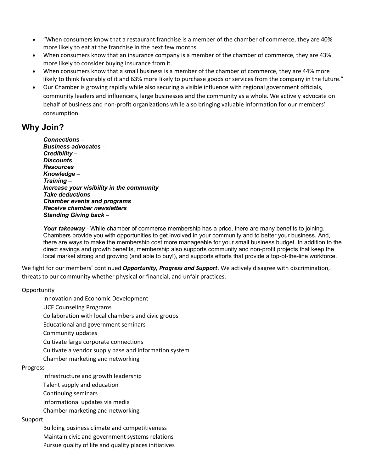- "When consumers know that a restaurant franchise is a member of the chamber of commerce, they are 40% more likely to eat at the franchise in the next few months.
- When consumers know that an insurance company is a member of the chamber of commerce, they are 43% more likely to consider buying insurance from it.
- When consumers know that a small business is a member of the chamber of commerce, they are 44% more likely to think favorably of it and 63% more likely to purchase goods or services from the company in the future."
- Our Chamber is growing rapidly while also securing a visible influence with regional government officials, community leaders and influencers, large businesses and the community as a whole. We actively advocate on behalf of business and non-profit organizations while also bringing valuable information for our members' consumption.

## **Why Join?**

*Connections* **–** *Business advocates* – *Credibility* – *Discounts Resources Knowledge* – *Training* – *Increase your visibility in the community Take deductions – Chamber events and programs Receive chamber newsletters Standing Giving back* –

*Your takeaway* - While chamber of commerce membership has a price, there are many benefits to joining. Chambers provide you with opportunities to get involved in your community and to better your business. And, there are ways to make the membership cost more manageable for your small business budget. In addition to the direct savings and growth benefits, membership also supports community and non-profit projects that keep the local market strong and growing (and able to buy!), and supports efforts that provide a top-of-the-line workforce.

We fight for our members' continued *Opportunity, Progress and Support*. We actively disagree with discrimination, threats to our community whether physical or financial, and unfair practices.

## **Opportunity**

Innovation and Economic Development

UCF Counseling Programs

Collaboration with local chambers and civic groups

Educational and government seminars

Community updates

Cultivate large corporate connections

Cultivate a vendor supply base and information system

Chamber marketing and networking

## Progress

Infrastructure and growth leadership

Talent supply and education

Continuing seminars

Informational updates via media

Chamber marketing and networking

## Support

Building business climate and competitiveness

Maintain civic and government systems relations

Pursue quality of life and quality places initiatives